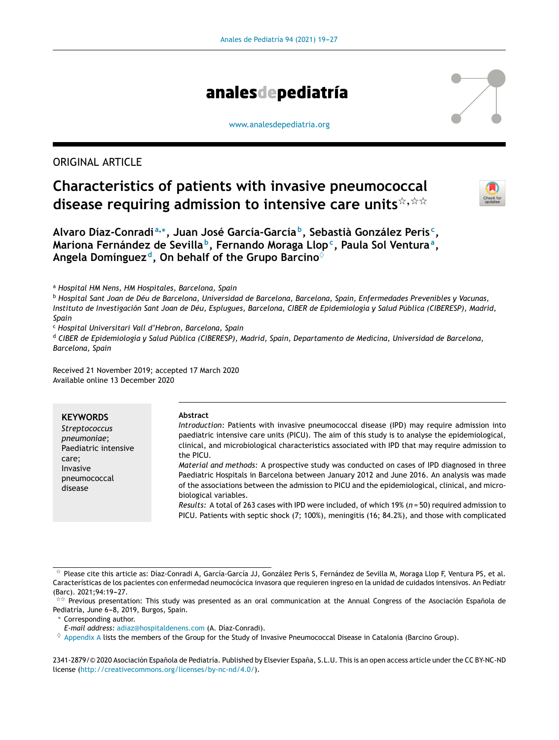

#### [www.analesdepediatria.org](http://www.analesdepediatria.org)

# ORIGINAL ARTICLE

# **Characteristics of patients with invasive pneumococcal disease requiring admission to intensive care units**-,--



**Alvaro Díaz-Conradi <sup>a</sup>**,<sup>∗</sup> **, Juan José García-García <sup>b</sup> , Sebastià González Peris <sup>c</sup> , Mariona Fernández de Sevilla <sup>b</sup> , Fernando Moraga Llop<sup>c</sup> , Paula Sol Ventura<sup>a</sup> , Angela Domínguez <sup>d</sup> , On behalf of the Grupo Barcino**♦

<sup>a</sup> *Hospital HM Nens, HM Hospitales, Barcelona, Spain*

<sup>b</sup> Hospital Sant Joan de Déu de Barcelona, Universidad de Barcelona, Barcelona, Spain, Enfermedades Prevenibles y Vacunas, Instituto de Investigación Sant Joan de Déu, Esplugues, Barcelona, CIBER de Epidemiología y Salud Pública (CIBERESP), Madrid, *Spain*

<sup>c</sup> *Hospital Universitari Vall d'Hebron, Barcelona, Spain*

<sup>d</sup> *CIBER de Epidemiología y Salud Pública (CIBERESP), Madrid, Spain, Departamento de Medicina, Universidad de Barcelona, Barcelona, Spain*

Received 21 November 2019; accepted 17 March 2020 Available online 13 December 2020

| <b>KEYWORDS</b><br>Streptococcus<br>pneumoniae;<br>Paediatric intensive<br>care;<br>Invasive<br>pneumococcal<br>disease | Abstract<br>Introduction: Patients with invasive pneumococcal disease (IPD) may require admission into<br>paediatric intensive care units (PICU). The aim of this study is to analyse the epidemiological,<br>clinical, and microbiological characteristics associated with IPD that may require admission to<br>the PICU.<br>Material and methods: A prospective study was conducted on cases of IPD diagnosed in three<br>Paediatric Hospitals in Barcelona between January 2012 and June 2016. An analysis was made<br>of the associations between the admission to PICU and the epidemiological, clinical, and micro-<br>biological variables. |
|-------------------------------------------------------------------------------------------------------------------------|----------------------------------------------------------------------------------------------------------------------------------------------------------------------------------------------------------------------------------------------------------------------------------------------------------------------------------------------------------------------------------------------------------------------------------------------------------------------------------------------------------------------------------------------------------------------------------------------------------------------------------------------------|
|                                                                                                                         | Results: A total of 263 cases with IPD were included, of which 19% ( $n = 50$ ) required admission to<br>PICU. Patients with septic shock (7; 100%), meningitis (16; 84.2%), and those with complicated                                                                                                                                                                                                                                                                                                                                                                                                                                            |

2341-2879/© 2020 Asociación Española de Pediatría. Published by Elsevier España, S.L.U. This is an open access article under the CC BY-NC-ND license (<http://creativecommons.org/licenses/by-nc-nd/4.0/>).

<sup>-</sup> Please cite this article as: Díaz-Conradi A, García-García JJ, González Peris S, Fernández de Sevilla M, Moraga Llop F, Ventura PS, et al. Características de los pacientes con enfermedad neumocócica invasora que requieren ingreso en la unidad de cuidados intensivos. An Pediatr (Barc). 2021;94:19-27.

<sup>\*\*</sup> Previous presentation: This study was presented as an oral communication at the Annual Congress of the Asociación Española de Pediatría, June 6-8, 2019, Burgos, Spain.

<sup>∗</sup> Corresponding author.

*E-mail address:* [adiaz@hospitaldenens.com](mailto:adiaz@hospitaldenens.com) (A. Díaz-Conradi).

 $\diamond$  [Appendix](#page-8-0) [A](#page-8-0) lists the members of the Group for the Study of Invasive Pneumococcal Disease in Catalonia (Barcino Group).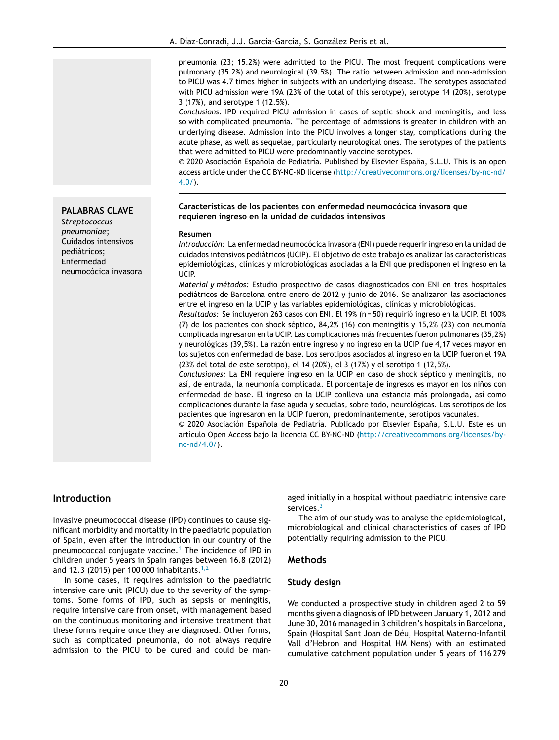pneumonia (23; 15.2%) were admitted to the PICU. The most frequent complications were pulmonary (35.2%) and neurological (39.5%). The ratio between admission and non-admission to PICU was 4.7 times higher in subjects with an underlying disease. The serotypes associated with PICU admission were 19A (23% of the total of this serotype), serotype 14 (20%), serotype 3 (17%), and serotype 1 (12.5%).

*Conclusions:* IPD required PICU admission in cases of septic shock and meningitis, and less so with complicated pneumonia. The percentage of admissions is greater in children with an underlying disease. Admission into the PICU involves a longer stay, complications during the acute phase, as well as sequelae, particularly neurological ones. The serotypes of the patients that were admitted to PICU were predominantly vaccine serotypes.

 $©$  2020 Asociación Española de Pediatría. Published by Elsevier España, S.L.U. This is an open access article under the CC BY-NC-ND license ([http://creativecommons.org/licenses/by-nc-nd/](http://creativecommons.org/licenses/by-nc-nd/4.0/) [4.0/\)](http://creativecommons.org/licenses/by-nc-nd/4.0/).

#### **Características de los pacientes con enfermedad neumocócica invasora que requieren ingreso en la unidad de cuidados intensivos**

#### **Resumen**

*Introducción:* La enfermedad neumocócica invasora (ENI) puede requerir ingreso en la unidad de cuidados intensivos pediátricos (UCIP). El objetivo de este trabajo es analizar las características epidemiológicas, clínicas y microbiológicas asociadas a la ENI que predisponen el ingreso en la UCIP.

*Material y métodos:* Estudio prospectivo de casos diagnosticados con ENI en tres hospitales pediátricos de Barcelona entre enero de 2012 y junio de 2016. Se analizaron las asociaciones entre el ingreso en la UCIP y las variables epidemiológicas, clínicas y microbiológicas.

*Resultados:* Se incluyeron 263 casos con ENI. El 19% (n = 50) requirió ingreso en la UCIP. El 100% (7) de los pacientes con shock séptico, 84,2% (16) con meningitis y 15,2% (23) con neumonía complicada ingresaron en la UCIP. Las complicaciones más frecuentes fueron pulmonares (35,2%) y neurológicas (39,5%). La razón entre ingreso y no ingreso en la UCIP fue 4,17 veces mayor en los sujetos con enfermedad de base. Los serotipos asociados al ingreso en la UCIP fueron el 19A (23% del total de este serotipo), el 14 (20%), el 3 (17%) y el serotipo 1 (12,5%).

*Conclusiones:* La ENI requiere ingreso en la UCIP en caso de shock séptico y meningitis, no así, de entrada, la neumonía complicada. El porcentaje de ingresos es mavor en los niños con enfermedad de base. El ingreso en la UCIP conlleva una estancia más prolongada, así como complicaciones durante la fase aguda y secuelas, sobre todo, neurológicas. Los serotipos de los pacientes que ingresaron en la UCIP fueron, predominantemente, serotipos vacunales.

 $© 2020 Asociación Española de Pediatría. Publicado por Elsevier España, S.L.U. Este es un$ artículo Open Access bajo la licencia CC BY-NC-ND [\(http://creativecommons.org/licenses/by](http://creativecommons.org/licenses/by-nc-nd/4.0/)[nc-nd/4.0/](http://creativecommons.org/licenses/by-nc-nd/4.0/)).

## **Introduction**

Invasive pneumococcal disease (IPD) continues to cause significant morbidity and mortality in the paediatric population of Spain, even after the introduction in our country of the pneumococcal conjugate vaccine.[1](#page-8-0) The incidence of IPD in children under 5 years in Spain ranges between 16.8 (2012) and 12.3 (2015) per 100 000 inhabitants.<sup>[1,2](#page-8-0)</sup>

In some cases, it requires admission to the paediatric intensive care unit (PICU) due to the severity of the symptoms. Some forms of IPD, such as sepsis or meningitis, require intensive care from onset, with management based on the continuous monitoring and intensive treatment that these forms require once they are diagnosed. Other forms, such as complicated pneumonia, do not always require admission to the PICU to be cured and could be managed initially in a hospital without paediatric intensive care services.<sup>[3](#page-8-0)</sup>

The aim of our study was to analyse the epidemiological, microbiological and clinical characteristics of cases of IPD potentially requiring admission to the PICU.

#### **Methods**

#### **Study design**

We conducted a prospective study in children aged 2 to 59 months given a diagnosis of IPD between January 1, 2012 and June 30, 2016 managed in 3 children's hospitals in Barcelona, Spain (Hospital Sant Joan de Déu, Hospital Materno-Infantil Vall d'Hebron and Hospital HM Nens) with an estimated cumulative catchment population under 5 years of 116 279

#### **PALABRAS CLAVE**

*Streptococcus pneumoniae*; Cuidados intensivos pediátricos; Enfermedad neumocócica invasora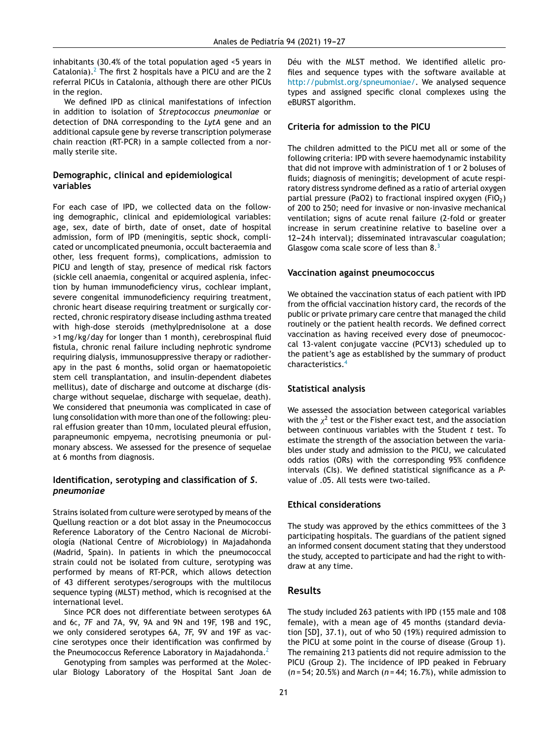inhabitants (30.4% of the total population aged <5 years in Catalonia).<sup>[2](#page-8-0)</sup> The first 2 hospitals have a PICU and are the 2 referral PICUs in Catalonia, although there are other PICUs in the region.

We defined IPD as clinical manifestations of infection in addition to isolation of *Streptococcus pneumoniae* or detection of DNA corresponding to the *LytA* gene and an additional capsule gene by reverse transcription polymerase chain reaction (RT-PCR) in a sample collected from a normally sterile site.

## **Demographic, clinical and epidemiological variables**

For each case of IPD, we collected data on the following demographic, clinical and epidemiological variables: age, sex, date of birth, date of onset, date of hospital admission, form of IPD (meningitis, septic shock, complicated or uncomplicated pneumonia, occult bacteraemia and other, less frequent forms), complications, admission to PICU and length of stay, presence of medical risk factors (sickle cell anaemia, congenital or acquired asplenia, infection by human immunodeficiency virus, cochlear implant, severe congenital immunodeficiency requiring treatment, chronic heart disease requiring treatment or surgically corrected, chronic respiratory disease including asthma treated with high-dose steroids (methylprednisolone at a dose >1 mg/kg/day for longer than 1 month), cerebrospinal fluid fistula, chronic renal failure including nephrotic syndrome requiring dialysis, immunosuppressive therapy or radiotherapy in the past 6 months, solid organ or haematopoietic stem cell transplantation, and insulin-dependent diabetes mellitus), date of discharge and outcome at discharge (discharge without sequelae, discharge with sequelae, death). We considered that pneumonia was complicated in case of lung consolidation with more than one of the following: pleural effusion greater than 10 mm, loculated pleural effusion, parapneumonic empyema, necrotising pneumonia or pulmonary abscess. We assessed for the presence of sequelae at 6 months from diagnosis.

## **Identification, serotyping and classification of** *S. pneumoniae*

Strains isolated from culture were serotyped by means of the Quellung reaction or a dot blot assay in the Pneumococcus Reference Laboratory of the Centro Nacional de Microbiología (National Centre of Microbiology) in Majadahonda (Madrid, Spain). In patients in which the pneumococcal strain could not be isolated from culture, serotyping was performed by means of RT-PCR, which allows detection of 43 different serotypes/serogroups with the multilocus sequence typing (MLST) method, which is recognised at the international level.

Since PCR does not differentiate between serotypes 6A and 6C, 7F and 7A, 9V, 9A and 9N and 19F, 19B and 19C, we only considered serotypes 6A, 7F, 9V and 19F as vaccine serotypes once their identification was confirmed by the Pneumococcus Reference Laboratory in Majadahonda.<sup>[2](#page-8-0)</sup>

Genotyping from samples was performed at the Molecular Biology Laboratory of the Hospital Sant Joan de

Déu with the MLST method. We identified allelic profiles and sequence types with the software available at [http://pubmlst.org/spneumoniae/.](http://pubmlst.org/spneumoniae/) We analysed sequence types and assigned specific clonal complexes using the eBURST algorithm.

## **Criteria for admission to the PICU**

The children admitted to the PICU met all or some of the following criteria: IPD with severe haemodynamic instability that did not improve with administration of 1 or 2 boluses of fluids; diagnosis of meningitis; development of acute respiratory distress syndrome defined as a ratio of arterial oxygen partial pressure (PaO2) to fractional inspired oxygen (FiO<sub>2</sub>) of 200 to 250; need for invasive or non-invasive mechanical ventilation; signs of acute renal failure (2-fold or greater increase in serum creatinine relative to baseline over a 12-24 h interval); disseminated intravascular coagulation; Glasgow coma scale score of less than 8.<sup>[3](#page-8-0)</sup>

## **Vaccination against pneumococcus**

We obtained the vaccination status of each patient with IPD from the official vaccination history card, the records of the public or private primary care centre that managed the child routinely or the patient health records. We defined correct vaccination as having received every dose of pneumococcal 13-valent conjugate vaccine (PCV13) scheduled up to the patient's age as established by the summary of product characteristics.[4](#page-8-0)

## **Statistical analysis**

We assessed the association between categorical variables with the  $\chi^2$  test or the Fisher exact test, and the association between continuous variables with the Student *t* test. To estimate the strength of the association between the variables under study and admission to the PICU, we calculated odds ratios (ORs) with the corresponding 95% confidence intervals (CIs). We defined statistical significance as a *P*value of .05. All tests were two-tailed.

## **Ethical considerations**

The study was approved by the ethics committees of the 3 participating hospitals. The guardians of the patient signed an informed consent document stating that they understood the study, accepted to participate and had the right to withdraw at any time.

# **Results**

The study included 263 patients with IPD (155 male and 108 female), with a mean age of 45 months (standard deviation [SD], 37.1), out of who 50 (19%) required admission to the PICU at some point in the course of disease (Group 1). The remaining 213 patients did not require admission to the PICU (Group 2). The incidence of IPD peaked in February (*n* = 54; 20.5%) and March (*n* = 44; 16.7%), while admission to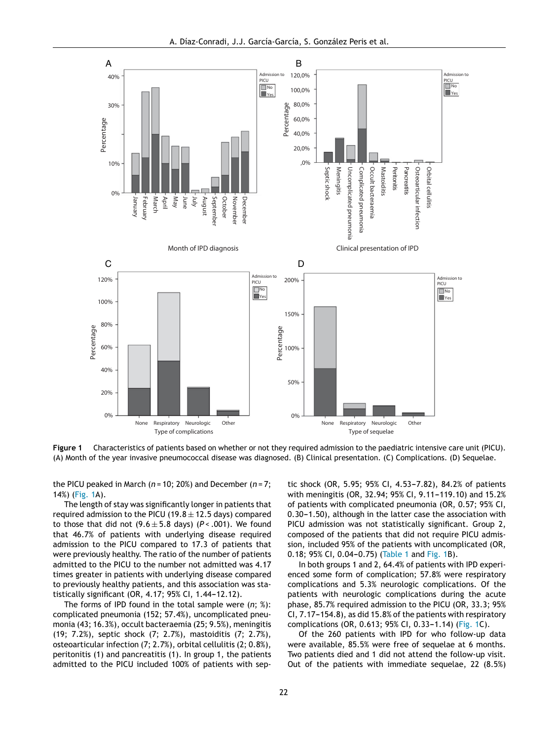<span id="page-3-0"></span>

**Figure 1** Characteristics of patients based on whether or not they required admission to the paediatric intensive care unit (PICU). (A) Month of the year invasive pneumococcal disease was diagnosed. (B) Clinical presentation. (C) Complications. (D) Sequelae.

the PICU peaked in March (*n* = 10; 20%) and December (*n* = 7; 14%) (Fig. 1A).

The length of stay was significantly longer in patients that required admission to the PICU (19.8  $\pm$  12.5 days) compared to those that did not  $(9.6 \pm 5.8$  days)  $(P < .001)$ . We found that 46.7% of patients with underlying disease required admission to the PICU compared to 17.3 of patients that were previously healthy. The ratio of the number of patients admitted to the PICU to the number not admitted was 4.17 times greater in patients with underlying disease compared to previously healthy patients, and this association was statistically significant (OR, 4.17; 95% CI, 1.44-12.12).

The forms of IPD found in the total sample were (*n*; %): complicated pneumonia (152; 57.4%), uncomplicated pneumonia (43; 16.3%), occult bacteraemia (25; 9.5%), meningitis (19; 7.2%), septic shock (7; 2.7%), mastoiditis (7; 2.7%), osteoarticular infection (7; 2.7%), orbital cellulitis (2; 0.8%), peritonitis (1) and pancreatitis (1). In group 1, the patients admitted to the PICU included 100% of patients with septic shock (OR, 5.95; 95% CI, 4.53-7.82), 84.2% of patients with meningitis (OR, 32.94; 95% CI, 9.11-119.10) and 15.2% of patients with complicated pneumonia (OR, 0.57; 95% CI, 0.30-1.50), although in the latter case the association with PICU admission was not statistically significant. Group 2, composed of the patients that did not require PICU admission, included 95% of the patients with uncomplicated (OR,  $0.18$ ; 95% CI,  $0.04 - 0.75$ ) ([Table](#page-4-0) 1 and Fig. 1B).

In both groups 1 and 2, 64.4% of patients with IPD experienced some form of complication; 57.8% were respiratory complications and 5.3% neurologic complications. Of the patients with neurologic complications during the acute phase, 85.7% required admission to the PICU (OR, 33.3; 95% CI,  $7.17-154.8$ ), as did 15.8% of the patients with respiratory complications (OR, 0.613; 95% CI, 0.33-1.14) (Fig. 1C).

Of the 260 patients with IPD for who follow-up data were available, 85.5% were free of sequelae at 6 months. Two patients died and 1 did not attend the follow-up visit. Out of the patients with immediate sequelae, 22 (8.5%)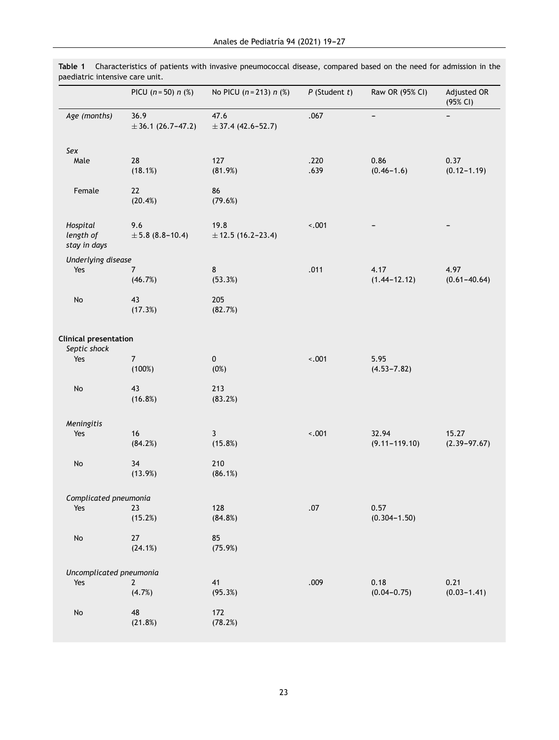|                                              | PICU $(n = 50) n$ (%)          | No PICU $(n = 213) n$ (%)      | $P$ (Student $t$ ) | Raw OR (95% CI)            | Adjusted OR<br>(95% CI)   |
|----------------------------------------------|--------------------------------|--------------------------------|--------------------|----------------------------|---------------------------|
| Age (months)                                 | 36.9<br>$\pm$ 36.1 (26.7-47.2) | 47.6<br>$\pm$ 37.4 (42.6-52.7) | .067               |                            |                           |
| Sex                                          |                                |                                |                    |                            |                           |
| Male                                         | 28<br>(18.1%)                  | 127<br>(81.9%)                 | .220<br>.639       | 0.86<br>$(0.46 - 1.6)$     | 0.37<br>$(0.12 - 1.19)$   |
| Female                                       | 22<br>(20.4%)                  | 86<br>(79.6%)                  |                    |                            |                           |
| Hospital<br>length of<br>stay in days        | 9.6<br>$\pm 5.8$ (8.8-10.4)    | 19.8<br>$± 12.5(16.2-23.4)$    | $-.001$            |                            |                           |
| Underlying disease                           |                                |                                |                    |                            |                           |
| Yes                                          | 7<br>(46.7%)                   | 8<br>(53.3%)                   | .011               | 4.17<br>$(1.44 - 12.12)$   | 4.97<br>$(0.61 - 40.64)$  |
| No                                           | 43<br>(17.3%)                  | 205<br>(82.7%)                 |                    |                            |                           |
| <b>Clinical presentation</b><br>Septic shock |                                |                                |                    |                            |                           |
| Yes                                          | $\overline{7}$<br>(100%)       | $\pmb{0}$<br>(0%)              | $-.001$            | 5.95<br>$(4.53 - 7.82)$    |                           |
| $\operatorname{\mathsf{No}}$                 | 43<br>(16.8%)                  | 213<br>(83.2%)                 |                    |                            |                           |
| Meningitis                                   |                                |                                |                    |                            |                           |
| Yes                                          | 16<br>(84.2%)                  | 3<br>(15.8%)                   | $-.001$            | 32.94<br>$(9.11 - 119.10)$ | 15.27<br>$(2.39 - 97.67)$ |
| No                                           | 34<br>(13.9%)                  | 210<br>(86.1%)                 |                    |                            |                           |
| Complicated pneumonia                        |                                |                                |                    |                            |                           |
| Yes                                          | 23<br>(15.2%)                  | 128<br>(84.8%)                 | .07                | 0.57<br>$(0.304 - 1.50)$   |                           |
| $\operatorname{\mathsf{No}}$                 | 27<br>(24.1%)                  | 85<br>(75.9%)                  |                    |                            |                           |
| Uncomplicated pneumonia                      |                                |                                |                    |                            |                           |
| Yes                                          | $\overline{2}$                 | 41                             | .009               | 0.18                       | 0.21                      |
|                                              | (4.7%)                         | (95.3%)                        |                    | $(0.04 - 0.75)$            | $(0.03 - 1.41)$           |
| $\operatorname{\mathsf{No}}$                 | 48<br>(21.8%)                  | 172<br>(78.2%)                 |                    |                            |                           |
|                                              |                                |                                |                    |                            |                           |

<span id="page-4-0"></span>**Table 1** Characteristics of patients with invasive pneumococcal disease, compared based on the need for admission in the paediatric intensive care unit.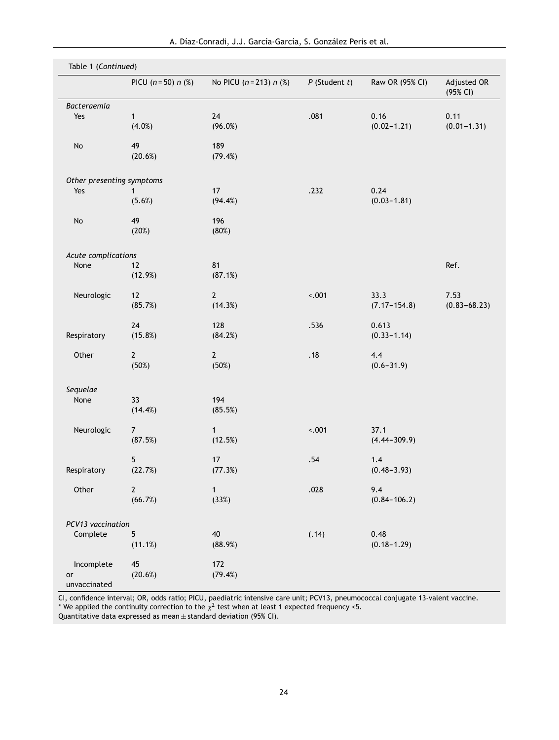| Table 1 (Continued)         |                       |                           |                    |                  |                         |  |  |  |
|-----------------------------|-----------------------|---------------------------|--------------------|------------------|-------------------------|--|--|--|
|                             | PICU $(n = 50) n$ (%) | No PICU $(n = 213) n$ (%) | $P$ (Student $t$ ) | Raw OR (95% CI)  | Adjusted OR<br>(95% CI) |  |  |  |
| Bacteraemia                 |                       |                           |                    |                  |                         |  |  |  |
| Yes                         | $\mathbf{1}$          | 24                        | .081               | 0.16             | 0.11                    |  |  |  |
|                             | (4.0%)                | (96.0%)                   |                    | $(0.02 - 1.21)$  | $(0.01 - 1.31)$         |  |  |  |
| No                          | 49                    | 189                       |                    |                  |                         |  |  |  |
|                             | (20.6%)               | (79.4%)                   |                    |                  |                         |  |  |  |
| Other presenting symptoms   |                       |                           |                    |                  |                         |  |  |  |
| Yes                         | 1                     | 17                        | .232               | 0.24             |                         |  |  |  |
|                             | (5.6%)                | (94.4%)                   |                    | $(0.03 - 1.81)$  |                         |  |  |  |
| No                          | 49                    | 196                       |                    |                  |                         |  |  |  |
|                             | (20%)                 | (80%)                     |                    |                  |                         |  |  |  |
|                             |                       |                           |                    |                  |                         |  |  |  |
| Acute complications<br>None | 12                    | 81                        |                    |                  | Ref.                    |  |  |  |
|                             | (12.9%)               | (87.1%)                   |                    |                  |                         |  |  |  |
| Neurologic                  | 12                    | $\mathbf{2}$              | $-.001$            | 33.3             | 7.53                    |  |  |  |
|                             | (85.7%)               | (14.3%)                   |                    | $(7.17 - 154.8)$ | $(0.83 - 68.23)$        |  |  |  |
|                             | 24                    | 128                       | .536               | 0.613            |                         |  |  |  |
| Respiratory                 | (15.8%)               | (84.2%)                   |                    | $(0.33 - 1.14)$  |                         |  |  |  |
| Other                       | $\mathbf{2}$          | $\mathbf{2}$              | .18                | 4.4              |                         |  |  |  |
|                             | (50%)                 | (50%)                     |                    | $(0.6 - 31.9)$   |                         |  |  |  |
| Sequelae                    |                       |                           |                    |                  |                         |  |  |  |
| None                        | 33                    | 194                       |                    |                  |                         |  |  |  |
|                             | (14.4%)               | (85.5%)                   |                    |                  |                         |  |  |  |
| Neurologic                  | $\boldsymbol{7}$      | $\mathbf{1}$              | $-.001$            | 37.1             |                         |  |  |  |
|                             | (87.5%)               | (12.5%)                   |                    | $(4.44 - 309.9)$ |                         |  |  |  |
|                             | 5                     | $17$                      | .54                | 1.4              |                         |  |  |  |
| Respiratory                 | (22.7%)               | (77.3%)                   |                    | $(0.48 - 3.93)$  |                         |  |  |  |
| Other                       | $2 \overline{ }$      | $\mathbf{1}$              | .028               | 9.4              |                         |  |  |  |
|                             | (66.7%)               | (33%)                     |                    | $(0.84 - 106.2)$ |                         |  |  |  |
| PCV13 vaccination           |                       |                           |                    |                  |                         |  |  |  |
| Complete                    | 5                     | 40                        | (.14)              | 0.48             |                         |  |  |  |
|                             | (11.1%)               | (88.9%)                   |                    | $(0.18 - 1.29)$  |                         |  |  |  |
| Incomplete                  | 45                    | 172                       |                    |                  |                         |  |  |  |
| or                          | (20.6%)               | (79.4%)                   |                    |                  |                         |  |  |  |
| unvaccinated                |                       |                           |                    |                  |                         |  |  |  |

CI, confidence interval; OR, odds ratio; PICU, paediatric intensive care unit; PCV13, pneumococcal conjugate 13-valent vaccine.

\* We applied the continuity correction to the  $\chi^2$  test when at least 1 expected frequency <5.

Quantitative data expressed as mean  $\pm$  standard deviation (95% CI).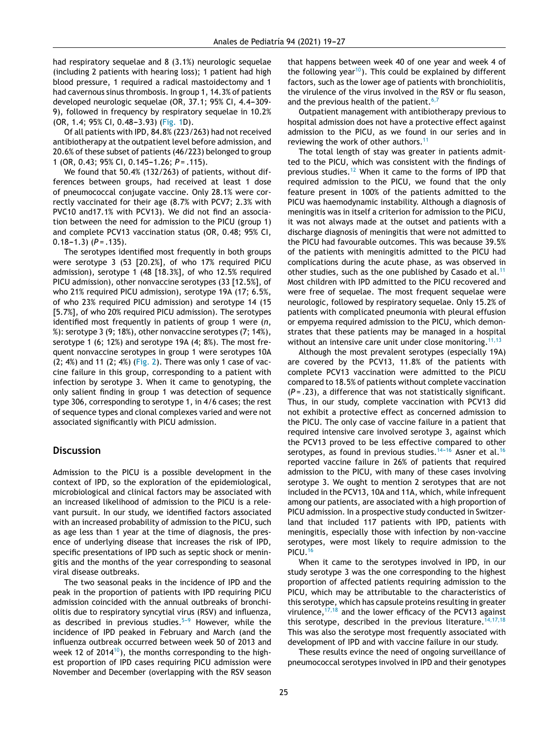had respiratory sequelae and 8 (3.1%) neurologic sequelae (including 2 patients with hearing loss); 1 patient had high blood pressure, 1 required a radical mastoidectomy and 1 had cavernous sinus thrombosis. In group 1, 14.3% of patients developed neurologic sequelae (OR, 37.1; 95% CI, 4.4-309-9), followed in frequency by respiratory sequelae in 10.2% (OR, 1.4; 95% CI, 0.48-3.93) ([Fig.](#page-3-0) 1D).

Of all patients with IPD, 84.8% (223/263) had not received antibiotherapy at the outpatient level before admission, and 20.6% of these subset of patients (46/223) belonged to group 1 (OR, 0.43; 95% CI, 0.145-1.26; *P* = .115).

We found that 50.4% (132/263) of patients, without differences between groups, had received at least 1 dose of pneumococcal conjugate vaccine. Only 28.1% were correctly vaccinated for their age (8.7% with PCV7; 2.3% with PVC10 and17.1% with PCV13). We did not find an association between the need for admission to the PICU (group 1) and complete PCV13 vaccination status (OR, 0.48; 95% CI,  $(0.18-1.3)$   $(P = .135)$ .

The serotypes identified most frequently in both groups were serotype 3 (53 [20.2%], of who 17% required PICU admission), serotype 1 (48 [18.3%], of who 12.5% required PICU admission), other nonvaccine serotypes (33 [12.5%], of who 21% required PICU admission), serotype 19A (17; 6.5%, of who 23% required PICU admission) and serotype 14 (15 [5.7%], of who 20% required PICU admission). The serotypes identified most frequently in patients of group 1 were (*n*,  $%$ ): serotype 3 (9; 18%), other nonvaccine serotypes (7; 14%), serotype 1 (6; 12%) and serotype 19A (4; 8%). The most frequent nonvaccine serotypes in group 1 were serotypes 10A  $(2; 4%)$  and 11  $(2; 4%)$  ([Fig.](#page-7-0) 2). There was only 1 case of vaccine failure in this group, corresponding to a patient with infection by serotype 3. When it came to genotyping, the only salient finding in group 1 was detection of sequence type 306, corresponding to serotype 1, in 4/6 cases; the rest of sequence types and clonal complexes varied and were not associated significantly with PICU admission.

#### **Discussion**

Admission to the PICU is a possible development in the context of IPD, so the exploration of the epidemiological, microbiological and clinical factors may be associated with an increased likelihood of admission to the PICU is a relevant pursuit. In our study, we identified factors associated with an increased probability of admission to the PICU, such as age less than 1 year at the time of diagnosis, the presence of underlying disease that increases the risk of IPD, specific presentations of IPD such as septic shock or meningitis and the months of the year corresponding to seasonal viral disease outbreaks.

The two seasonal peaks in the incidence of IPD and the peak in the proportion of patients with IPD requiring PICU admission coincided with the annual outbreaks of bronchiolitis due to respiratory syncytial virus (RSV) and influenza, as described in previous studies. $5-9$  However, while the incidence of IPD peaked in February and March (and the influenza outbreak occurred between week 50 of 2013 and week 12 of 2014 $^{10}$ [\),](#page-8-0) the months corresponding to the highest proportion of IPD cases requiring PICU admission were November and December (overlapping with the RSV season

that happens between week 40 of one year and week 4 of the following year<sup>[10](#page-8-0)</sup>). This could be explained by different factors, such as the lower age of patients with bronchiolitis, the virulence of the virus involved in the RSV or flu season, and the previous health of the patient.<sup>[6,7](#page-8-0)</sup>

Outpatient management with antibiotherapy previous to hospital admission does not have a protective effect against admission to the PICU, as we found in our series and in reviewing the work of other authors.<sup>[11](#page-8-0)</sup>

The total length of stay was greater in patients admitted to the PICU, which was consistent with the findings of previous studies.<sup>[12](#page-8-0)</sup> When it came to the forms of IPD that required admission to the PICU, we found that the only feature present in 100% of the patients admitted to the PICU was haemodynamic instability. Although a diagnosis of meningitis was in itself a criterion for admission to the PICU, it was not always made at the outset and patients with a discharge diagnosis of meningitis that were not admitted to the PICU had favourable outcomes. This was because 39.5% of the patients with meningitis admitted to the PICU had complications during the acute phase, as was observed in other studies, such as the one published by Casado et al.<sup>[11](#page-8-0)</sup> Most children with IPD admitted to the PICU recovered and were free of sequelae. The most frequent sequelae were neurologic, followed by respiratory sequelae. Only 15.2% of patients with complicated pneumonia with pleural effusion or empyema required admission to the PICU, which demonstrates that these patients may be managed in a hospital without an intensive care unit under close monitoring.<sup>[11,13](#page-8-0)</sup>

Although the most prevalent serotypes (especially 19A) are covered by the PCV13, 11.8% of the patients with complete PCV13 vaccination were admitted to the PICU compared to 18.5% of patients without complete vaccination (*P* = .23), a difference that was not statistically significant. Thus, in our study, complete vaccination with PCV13 did not exhibit a protective effect as concerned admission to the PICU. The only case of vaccine failure in a patient that required intensive care involved serotype 3, against which the PCV13 proved to be less effective compared to other serotypes, as found in previous studies.<sup>14-[16](#page-8-0)</sup> Asner et al.<sup>16</sup> reported vaccine failure in 26% of patients that required admission to the PICU, with many of these cases involving serotype 3. We ought to mention 2 serotypes that are not included in the PCV13, 10A and 11A, which, while infrequent among our patients, are associated with a high proportion of PICU admission. In a prospective study conducted in Switzerland that included 117 patients with IPD, patients with meningitis, especially those with infection by non-vaccine serotypes, were most likely to require admission to the PICU.[16](#page-8-0)

When it came to the serotypes involved in IPD, in our study serotype 3 was the one corresponding to the highest proportion of affected patients requiring admission to the PICU, which may be attributable to the characteristics of this serotype, which has capsule proteins resulting in greater virulence,  $17,18$  and the lower efficacy of the PCV13 against this serotype, described in the previous literature.<sup>[14,17,18](#page-8-0)</sup> This was also the serotype most frequently associated with development of IPD and with vaccine failure in our study.

These results evince the need of ongoing surveillance of pneumococcal serotypes involved in IPD and their genotypes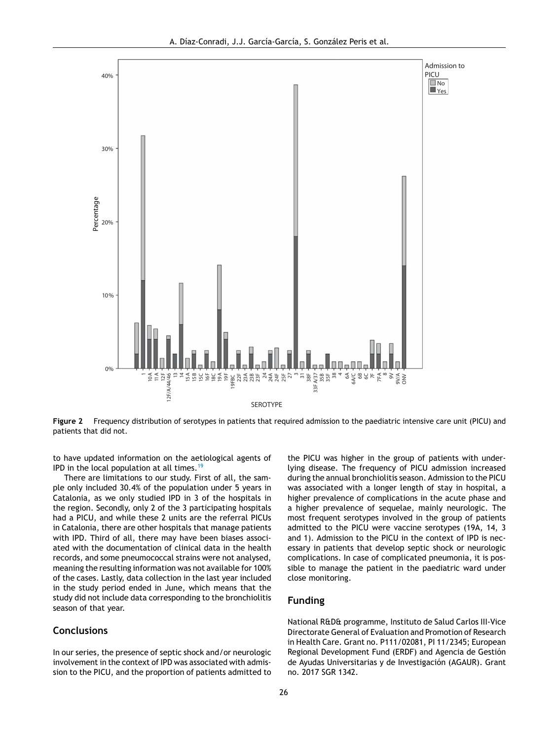<span id="page-7-0"></span>

**Figure 2** Frequency distribution of serotypes in patients that required admission to the paediatric intensive care unit (PICU) and patients that did not.

to have updated information on the aetiological agents of IPD in the local population at all times.<sup>[19](#page-8-0)</sup>

There are limitations to our study. First of all, the sample only included 30.4% of the population under 5 years in Catalonia, as we only studied IPD in 3 of the hospitals in the region. Secondly, only 2 of the 3 participating hospitals had a PICU, and while these 2 units are the referral PICUs in Catalonia, there are other hospitals that manage patients with IPD. Third of all, there may have been biases associated with the documentation of clinical data in the health records, and some pneumococcal strains were not analysed, meaning the resulting information was not available for 100% of the cases. Lastly, data collection in the last year included in the study period ended in June, which means that the study did not include data corresponding to the bronchiolitis season of that year.

#### **Conclusions**

In our series, the presence of septic shock and/or neurologic involvement in the context of IPD was associated with admission to the PICU, and the proportion of patients admitted to the PICU was higher in the group of patients with underlying disease. The frequency of PICU admission increased during the annual bronchiolitis season. Admission to the PICU was associated with a longer length of stay in hospital, a higher prevalence of complications in the acute phase and a higher prevalence of sequelae, mainly neurologic. The most frequent serotypes involved in the group of patients admitted to the PICU were vaccine serotypes (19A, 14, 3 and 1). Admission to the PICU in the context of IPD is necessary in patients that develop septic shock or neurologic complications. In case of complicated pneumonia, it is possible to manage the patient in the paediatric ward under close monitoring.

#### **Funding**

National R&D& programme, Instituto de Salud Carlos III-Vice Directorate General of Evaluation and Promotion of Research in Health Care. Grant no. P111/02081, PI 11/2345; European Regional Development Fund (ERDF) and Agencia de Gestión de Ayudas Universitarias y de Investigación (AGAUR). Grant no. 2017 SGR 1342.